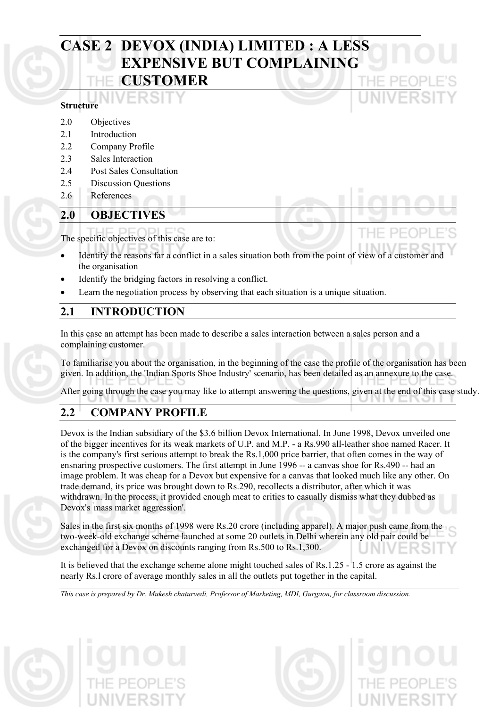# **CASE 2 DEVOX (INDIA) LIMITED : A LESS EXPENSIVE BUT COMPLAINING CUSTOMER**

### **Structure**

- 2.0 Objectives
- 2.1 Introduction
- 2.2 Company Profile
- 2.3 Sales Interaction
- 2.4 Post Sales Consultation
- 2.5 Discussion Questions
- 2.6 References

# **2.0 OBJECTIVES**

The specific objectives of this case are to:

- Identify the reasons far a conflict in a sales situation both from the point of view of a customer and the organisation
- Identify the bridging factors in resolving a conflict.
- Learn the negotiation process by observing that each situation is a unique situation.

# **2.1 INTRODUCTION**

In this case an attempt has been made to describe a sales interaction between a sales person and a complaining customer.

To familiarise you about the organisation, in the beginning of the case the profile of the organisation has been given. In addition, the 'Indian Sports Shoe Industry' scenario, has been detailed as an annexure to the case.

After going through the case you may like to attempt answering the questions, given at the end of this case study.

# **2.2 COMPANY PROFILE**

Devox is the Indian subsidiary of the \$3.6 billion Devox International. In June 1998, Devox unveiled one of the bigger incentives for its weak markets of U.P. and M.P. - a Rs.990 all-leather shoe named Racer. It is the company's first serious attempt to break the Rs.1,000 price barrier, that often comes in the way of ensnaring prospective customers. The first attempt in June 1996 -- a canvas shoe for Rs.490 -- had an image problem. It was cheap for a Devox but expensive for a canvas that looked much like any other. On trade demand, its price was brought down to Rs.290, recollects a distributor, after which it was withdrawn. In the process, it provided enough meat to critics to casually dismiss what they dubbed as Devox's ' mass market aggression'.

Sales in the first six months of 1998 were Rs.20 crore (including apparel). A major push came from the two-week-old exchange scheme launched at some 20 outlets in Delhi wherein any old pair could be exchanged for a Devox on discounts ranging from Rs.500 to Rs.1,300.

It is believed that the exchange scheme alone might touched sales of Rs.1.25 - 1.5 crore as against the nearly Rs.l crore of average monthly sales in all the outlets put together in the capital.

*This case is prepared by Dr. Mukesh chaturvedi, Professor of Marketing, MDI, Gurgaon, for classroom discussion.* 

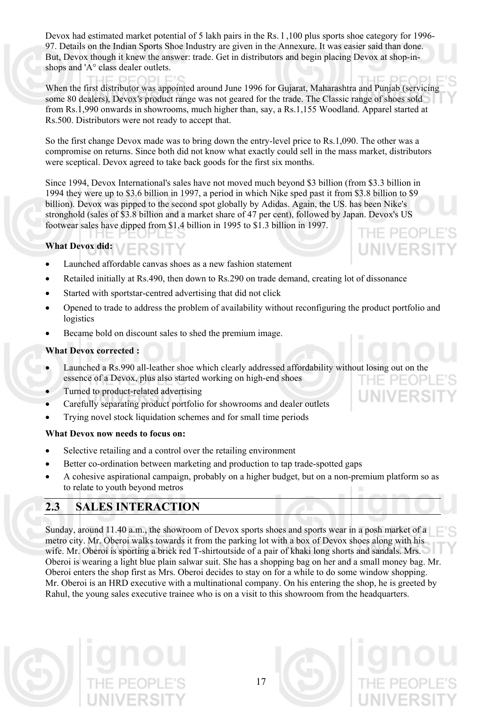Devox had estimated market potential of 5 lakh pairs in the Rs. l ,100 plus sports shoe category for 1996- 97. Details on the Indian Sports Shoe Industry are given in the Annexure. It was easier said than done. But, Devox though it knew the answer: trade. Get in distributors and begin placing Devox at shop-inshops and 'A° class dealer outlets.

When the first distributor was appointed around June 1996 for Gujarat, Maharashtra and Punjab (servicing some 80 dealers), Devox's product range was not geared for the trade. The Classic range of shoes sold from Rs.1,990 onwards in showrooms, much higher than, say, a Rs.1,155 Woodland. Apparel started at Rs.500. Distributors were not ready to accept that.

So the first change Devox made was to bring down the entry-level price to Rs.1,090. The other was a compromise on returns. Since both did not know what exactly could sell in the mass market, distributors were sceptical. Devox agreed to take back goods for the first six months.

Since 1994, Devox International's sales have not moved much beyond \$3 billion (from \$3.3 billion in 1994 they were up to \$3.6 billion in 1997, a period in which Nike sped past it from \$3.8 billion to \$9 billion). Devox was pipped to the second spot globally by Adidas. Again, the US. has been Nike's stronghold (sales of \$3.8 billion and a market share of 47 per cent), followed by Japan. Devox's US footwear sales have dipped from \$1.4 billion in 1995 to \$1.3 billion in 1997.

#### **What Devox did:**

- Launched affordable canvas shoes as a new fashion statement
- Retailed initially at Rs.490, then down to Rs.290 on trade demand, creating lot of dissonance
- Started with sportstar-centred advertising that did not click
- Opened to trade to address the problem of availability without reconfiguring the product portfolio and logistics

VFRS

• Became bold on discount sales to shed the premium image.

### **What Devox corrected :**

- Launched a Rs.990 all-leather shoe which clearly addressed affordability without losing out on the essence of a Devox, plus also started working on high-end shoes
- Turned to product-related advertising
- Carefully separating product portfolio for showrooms and dealer outlets
- Trying novel stock liquidation schemes and for small time periods

#### **What Devox now needs to focus on:**

- Selective retailing and a control over the retailing environment
- Better co-ordination between marketing and production to tap trade-spotted gaps
- A cohesive aspirational campaign, probably on a higher budget, but on a non-premium platform so as to relate to youth beyond metros

# **2.3 SALES INTERACTION**

Sunday, around 11.40 a.m., the showroom of Devox sports shoes and sports wear in a posh market of a metro city. Mr. Oberoi walks towards it from the parking lot with a box of Devox shoes along with his wife. Mr. Oberoi is sporting a brick red T-shirtoutside of a pair of khaki long shorts and sandals. Mrs. Oberoi is wearing a light blue plain salwar suit. She has a shopping bag on her and a small money bag. Mr. Oberoi enters the shop first as Mrs. Oberoi decides to stay on for a while to do some window shopping. Mr. Oberoi is an HRD executive with a multinational company. On his entering the shop, he is greeted by Rahul, the young sales executive trainee who is on a visit to this showroom from the headquarters.

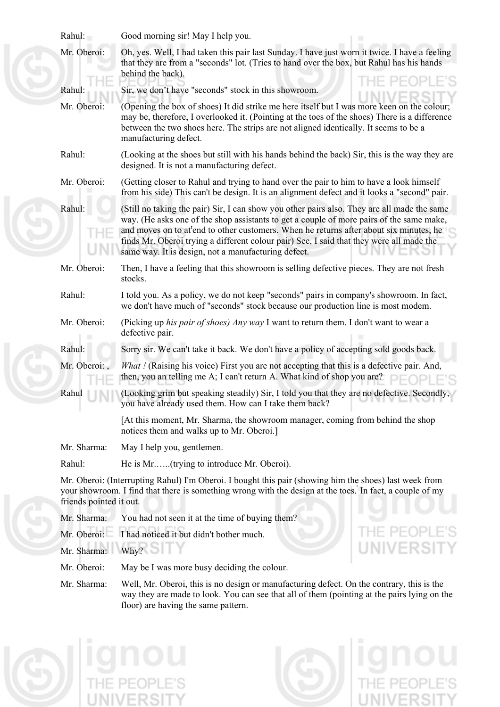|  | Rahul:                                                                                                                                                                                                                                                                                                                                                                                                                                                      | Good morning sir! May I help you.                                                                                                                                                                                                                                                                            |  |  |
|--|-------------------------------------------------------------------------------------------------------------------------------------------------------------------------------------------------------------------------------------------------------------------------------------------------------------------------------------------------------------------------------------------------------------------------------------------------------------|--------------------------------------------------------------------------------------------------------------------------------------------------------------------------------------------------------------------------------------------------------------------------------------------------------------|--|--|
|  | Mr. Oberoi:                                                                                                                                                                                                                                                                                                                                                                                                                                                 | Oh, yes. Well, I had taken this pair last Sunday. I have just worn it twice. I have a feeling<br>that they are from a "seconds" lot. (Tries to hand over the box, but Rahul has his hands<br>behind the back).                                                                                               |  |  |
|  | Rahul:                                                                                                                                                                                                                                                                                                                                                                                                                                                      | Sir, we don't have "seconds" stock in this showroom.                                                                                                                                                                                                                                                         |  |  |
|  | Mr. Oberoi:                                                                                                                                                                                                                                                                                                                                                                                                                                                 | (Opening the box of shoes) It did strike me here itself but I was more keen on the colour;<br>may be, therefore, I overlooked it. (Pointing at the toes of the shoes) There is a difference<br>between the two shoes here. The strips are not aligned identically. It seems to be a<br>manufacturing defect. |  |  |
|  | Rahul:                                                                                                                                                                                                                                                                                                                                                                                                                                                      | (Looking at the shoes but still with his hands behind the back) Sir, this is the way they are<br>designed. It is not a manufacturing defect.                                                                                                                                                                 |  |  |
|  | Mr. Oberoi:                                                                                                                                                                                                                                                                                                                                                                                                                                                 | (Getting closer to Rahul and trying to hand over the pair to him to have a look himself<br>from his side) This can't be design. It is an alignment defect and it looks a "second" pair.                                                                                                                      |  |  |
|  | Rahul:<br>(Still no taking the pair) Sir, I can show you other pairs also. They are all made the same<br>way. (He asks one of the shop assistants to get a couple of more pairs of the same make,<br>and moves on to at <sup>t</sup> end to other customers. When he returns after about six minutes, he<br>finds Mr. Oberoi trying a different colour pair) See, I said that they were all made the<br>same way. It is design, not a manufacturing defect. |                                                                                                                                                                                                                                                                                                              |  |  |
|  | Mr. Oberoi:                                                                                                                                                                                                                                                                                                                                                                                                                                                 | Then, I have a feeling that this showroom is selling defective pieces. They are not fresh<br>stocks.                                                                                                                                                                                                         |  |  |
|  | Rahul:                                                                                                                                                                                                                                                                                                                                                                                                                                                      | I told you. As a policy, we do not keep "seconds" pairs in company's showroom. In fact,<br>we don't have much of "seconds" stock because our production line is most modem.                                                                                                                                  |  |  |
|  | Mr. Oberoi:                                                                                                                                                                                                                                                                                                                                                                                                                                                 | (Picking up his pair of shoes) Any way I want to return them. I don't want to wear a<br>defective pair.                                                                                                                                                                                                      |  |  |
|  | Rahul:                                                                                                                                                                                                                                                                                                                                                                                                                                                      | Sorry sir. We can't take it back. We don't have a policy of accepting sold goods back.                                                                                                                                                                                                                       |  |  |
|  | Mr. Oberoi:,                                                                                                                                                                                                                                                                                                                                                                                                                                                | What ! (Raising his voice) First you are not accepting that this is a defective pair. And,<br>then, you an telling me A; I can't return A. What kind of shop you are?                                                                                                                                        |  |  |
|  | Rahul                                                                                                                                                                                                                                                                                                                                                                                                                                                       | (Looking grim but speaking steadily) Sir, I told you that they are no defective. Secondly,<br>you have already used them. How can I take them back?                                                                                                                                                          |  |  |
|  |                                                                                                                                                                                                                                                                                                                                                                                                                                                             | [At this moment, Mr. Sharma, the showroom manager, coming from behind the shop<br>notices them and walks up to Mr. Oberoi.]                                                                                                                                                                                  |  |  |
|  | Mr. Sharma:                                                                                                                                                                                                                                                                                                                                                                                                                                                 | May I help you, gentlemen.                                                                                                                                                                                                                                                                                   |  |  |
|  | Rahul:                                                                                                                                                                                                                                                                                                                                                                                                                                                      | He is Mr(trying to introduce Mr. Oberoi).                                                                                                                                                                                                                                                                    |  |  |
|  | friends pointed it out.                                                                                                                                                                                                                                                                                                                                                                                                                                     | Mr. Oberoi: (Interrupting Rahul) I'm Oberoi. I bought this pair (showing him the shoes) last week from<br>your showroom. I find that there is something wrong with the design at the toes. In fact, a couple of my                                                                                           |  |  |
|  | Mr. Sharma:                                                                                                                                                                                                                                                                                                                                                                                                                                                 | You had not seen it at the time of buying them?                                                                                                                                                                                                                                                              |  |  |
|  | Mr. Oberoi:                                                                                                                                                                                                                                                                                                                                                                                                                                                 | I had noticed it but didn't bother much.                                                                                                                                                                                                                                                                     |  |  |
|  | Mr. Sharma:                                                                                                                                                                                                                                                                                                                                                                                                                                                 | Why?                                                                                                                                                                                                                                                                                                         |  |  |
|  | Mr. Oberoi:<br>May be I was more busy deciding the colour.<br>Mr. Sharma:<br>Well, Mr. Oberoi, this is no design or manufacturing defect. On the contrary, this is the                                                                                                                                                                                                                                                                                      |                                                                                                                                                                                                                                                                                                              |  |  |
|  |                                                                                                                                                                                                                                                                                                                                                                                                                                                             |                                                                                                                                                                                                                                                                                                              |  |  |

way they are made to look. You can see that all of them (pointing at the pairs lying on the floor) are having the same pattern.

**ignou** 

**ignou**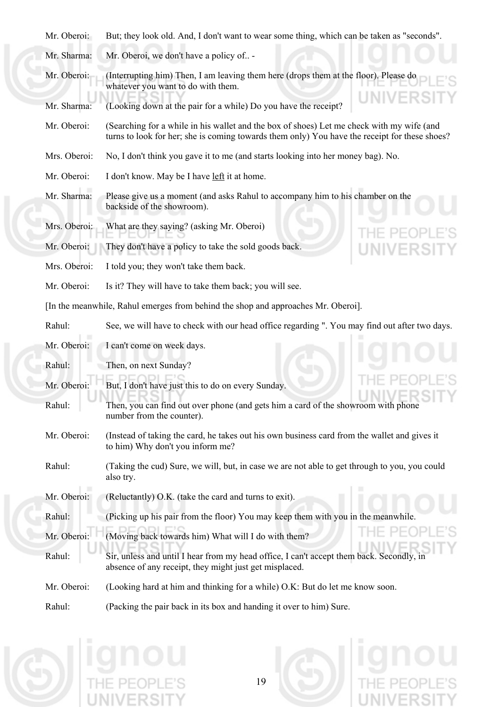|  | Mr. Oberoi: But; they look old. And, I don't want to wear some thing, which can be taken as "seconds". |
|--|--------------------------------------------------------------------------------------------------------|
|  |                                                                                                        |

Mr. Sharma: Mr. Oberoi, we don't have a policy of.. -

Mr. Oberoi: (Interrupting him) Then, I am leaving them here (drops them at the floor). Please do whatever you want to do with them.

Mr. Sharma: (Looking down at the pair for a while) Do you have the receipt?

Mr. Oberoi: (Searching for a while in his wallet and the box of shoes) Let me check with my wife (and turns to look for her; she is coming towards them only) You have the receipt for these shoes?

Mrs. Oberoi: No, I don't think you gave it to me (and starts looking into her money bag). No.

Mr. Oberoi: I don't know. May be I have left it at home.

Mr. Sharma: Please give us a moment (and asks Rahul to accompany him to his chamber on the backside of the showroom).

Mrs. Oberoi: What are they saying? (asking Mr. Oberoi)

Mr. Oberoi: They don't have a policy to take the sold goods back.

Mrs. Oberoi: I told you; they won't take them back.

Mr. Oberoi: Is it? They will have to take them back; you will see.

[In the meanwhile, Rahul emerges from behind the shop and approaches Mr. Oberoi].

Rahul: See, we will have to check with our head office regarding ". You may find out after two days.

Mr. Oberoi: I can't come on week days.

Rahul: Then, on next Sunday?

- Mr. Oberoi: But, I don't have just this to do on every Sunday.
- Rahul: Then, you can find out over phone (and gets him a card of the showroom with phone number from the counter).
- Mr. Oberoi: (Instead of taking the card, he takes out his own business card from the wallet and gives it to him) Why don't you inform me?
- Rahul: (Taking the cud) Sure, we will, but, in case we are not able to get through to you, you could also try.
- Mr. Oberoi: (Reluctantly) O.K. (take the card and turns to exit).
- Rahul: (Picking up his pair from the floor) You may keep them with you in the meanwhile.
- Mr. Oberoi: (Moving back towards him) What will I do with them?
- Rahul: Sir, unless and until I hear from my head office, I can't accept them back. Secondly, in absence of any receipt, they might just get misplaced.
- Mr. Oberoi: (Looking hard at him and thinking for a while) O.K: But do let me know soon.

Rahul: (Packing the pair back in its box and handing it over to him) Sure.

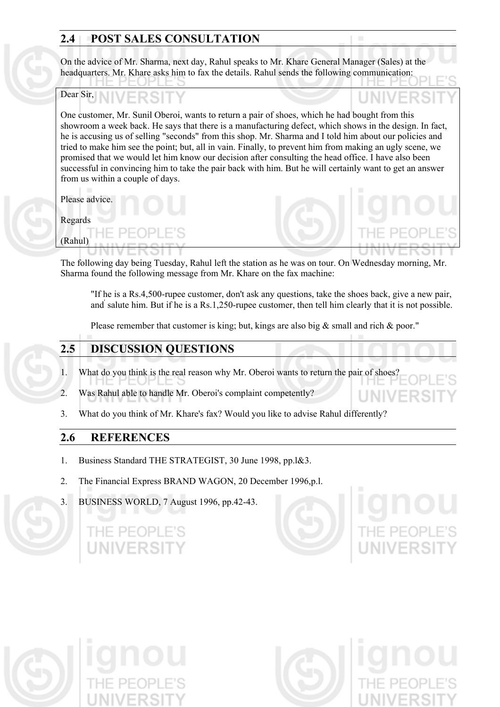# **2.4 POST SALES CONSULTATION**

On the advice of Mr. Sharma, next day, Rahul speaks to Mr. Khare General Manager (Sales) at the headquarters. Mr. Khare asks him to fax the details. Rahul sends the following communication:

## Dear Sir,

One customer, Mr. Sunil Oberoi, wants to return a pair of shoes, which he had bought from this showroom a week back. He says that there is a manufacturing defect, which shows in the design. In fact, he is accusing us of selling "seconds" from this shop. Mr. Sharma and I told him about our policies and tried to make him see the point; but, all in vain. Finally, to prevent him from making an ugly scene, we promised that we would let him know our decision after consulting the head office. I have also been successful in convincing him to take the pair back with him. But he will certainly want to get an answer from us within a couple of days.

Please advice.

(Rahul)

# Regards

The following day being Tuesday, Rahul left the station as he was on tour. On Wednesday morning, Mr. Sharma found the following message from Mr. Khare on the fax machine:

"If he is a Rs.4,500-rupee customer, don't ask any questions, take the shoes back, give a new pair, and' salute him. But if he is a Rs.1,250-rupee customer, then tell him clearly that it is not possible.

Please remember that customer is king; but, kings are also big & small and rich & poor."

# **2.5 DISCUSSION QUESTIONS**

- 1. What do you think is the real reason why Mr. Oberoi wants to return the pair of shoes?
- 2. Was Rahul able to handle Mr. Oberoi's complaint competently?
- 3. What do you think of Mr. Khare's fax? Would you like to advise Rahul differently?

# **2.6 REFERENCES**

- 1. Business Standard THE STRATEGIST, 30 June 1998, pp.l&3.
- 2. The Financial Express BRAND WAGON, 20 December 1996,p.l.
- 3. BUSINESS WORLD, 7 August 1996, pp.42-43.

IF PFOP





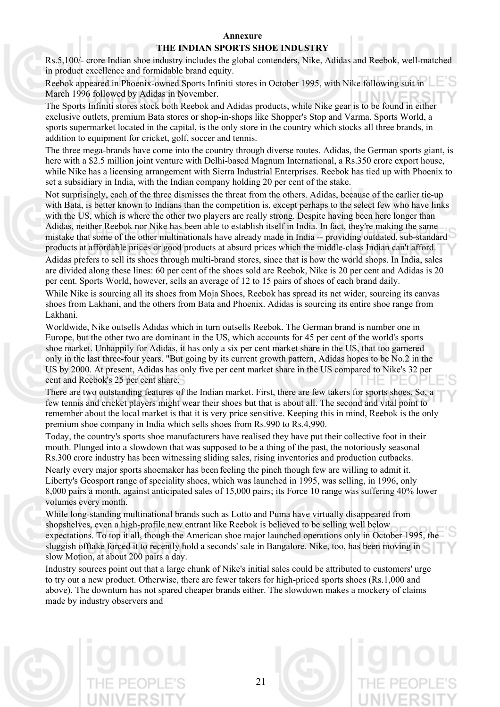#### **Annexure**

#### **THE INDIAN SPORTS SHOE INDUSTRY**

Rs.5,100/- crore Indian shoe industry includes the global contenders, Nike, Adidas and Reebok, well-matched in product excellence and formidable brand equity.

Reebok appeared in Phoenix-owned Sports Infiniti stores in October 1995, with Nike following suit in March 1996 followed by Adidas in November.

The Sports Infiniti stores stock both Reebok and Adidas products, while Nike gear is to be found in either exclusive outlets, premium Bata stores or shop-in-shops like Shopper's Stop and Varma. Sports World, a sports supermarket located in the capital, is the only store in the country which stocks all three brands, in addition to equipment for cricket, golf, soccer and tennis.

The three mega-brands have come into the country through diverse routes. Adidas, the German sports giant, is here with a \$2.5 million joint venture with Delhi-based Magnum International, a Rs.350 crore export house, while Nike has a licensing arrangement with Sierra Industrial Enterprises. Reebok has tied up with Phoenix to set a subsidiary in India, with the Indian company holding 20 per cent of the stake.

Not surprisingly, each of the three dismisses the threat from the others. Adidas, because of the earlier tie-up with Bata, is better known to Indians than the competition is, except perhaps to the select few who have links with the US, which is where the other two players are really strong. Despite having been here longer than Adidas, neither Reebok nor Nike has been able to establish itself in India. In fact, they're making the same mistake that some of the other multinationals have already made in India -- providing outdated, sub-standard products at affordable prices or good products at absurd prices which the middle-class Indian can't afford.

Adidas prefers to sell its shoes through multi-brand stores, since that is how the world shops. In India, sales are divided along these lines: 60 per cent of the shoes sold are Reebok, Nike is 20 per cent and Adidas is 20 per cent. Sports World, however, sells an average of 12 to 15 pairs of shoes of each brand daily.

While Nike is sourcing all its shoes from Moja Shoes, Reebok has spread its net wider, sourcing its canvas shoes from Lakhani, and the others from Bata and Phoenix. Adidas is sourcing its entire shoe range from Lakhani.

Worldwide, Nike outsells Adidas which in turn outsells Reebok. The German brand is number one in Europe, but the other two are dominant in the US, which accounts for 45 per cent of the world's sports shoe market. Unhappily for Adidas, it has only a six per cent market share in the US, that too garnered only in the last three-four years. "But going by its current growth pattern, Adidas hopes to be No.2 in the US by 2000. At present, Adidas has only five per cent market share in the US compared to Nike's 32 per cent and Reebok's 25 per cent share.

There are two outstanding features of the Indian market. First, there are few takers for sports shoes. So, a few tennis and cricket players might wear their shoes but that is about all. The second and vital point to remember about the local market is that it is very price sensitive. Keeping this in mind, Reebok is the only premium shoe company in India which sells shoes from Rs.990 to Rs.4,990.

Today, the country's sports shoe manufacturers have realised they have put their collective foot in their mouth. Plunged into a slowdown that was supposed to be a thing of the past, the notoriously seasonal Rs.300 crore industry has been witnessing sliding sales, rising inventories and production cutbacks.

Nearly every major sports shoemaker has been feeling the pinch though few are willing to admit it. Liberty's Geosport range of speciality shoes, which was launched in 1995, was selling, in 1996, only 8,000 pairs a month, against anticipated sales of 15,000 pairs; its Force 10 range was suffering 40% lower volumes every month.

While long-standing multinational brands such as Lotto and Puma have virtually disappeared from shopshelves, even a high-profile new entrant like Reebok is believed to be selling well below expectations. To top it all, though the American shoe major launched operations only in October 1995, the sluggish offtake forced it to recently hold a seconds' sale in Bangalore. Nike, too, has been moving in slow Motion, at about 200 pairs a day.

Industry sources point out that a large chunk of Nike's initial sales could be attributed to customers' urge to try out a new product. Otherwise, there are fewer takers for high-priced sports shoes (Rs.1,000 and above). The downturn has not spared cheaper brands either. The slowdown makes a mockery of claims made by industry observers and

21